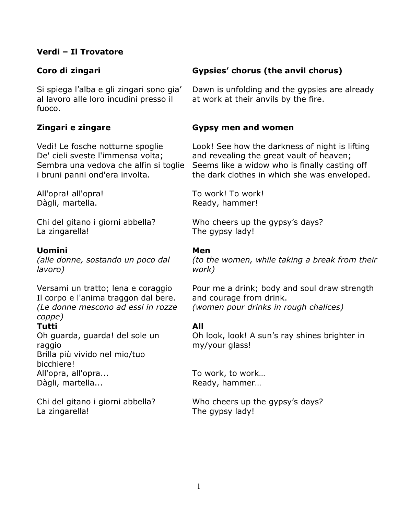# Verdi – Il Trovatore

Si spiega l'alba e gli zingari sono gia' al lavoro alle loro incudini presso il fuoco.

# Zingari e zingare

Vedi! Le fosche notturne spoglie De' cieli sveste l'immensa volta; Sembra una vedova che alfin si toglie i bruni panni ond'era involta.

All'opra! all'opra! Dàgli, martella.

Chi del gitano i giorni abbella? La zingarella!

# Uomini

(alle donne, sostando un poco dal lavoro)

Versami un tratto; lena e coraggio Il corpo e l'anima traggon dal bere. (Le donne mescono ad essi in rozze coppe)

# Tutti

Oh guarda, guarda! del sole un raggio Brilla più vivido nel mio/tuo bicchiere! All'opra, all'opra... Dàgli, martella...

Chi del gitano i giorni abbella? La zingarella!

# Coro di zingari Gypsies' chorus (the anvil chorus)

Dawn is unfolding and the gypsies are already at work at their anvils by the fire.

## Gypsy men and women

Look! See how the darkness of night is lifting and revealing the great vault of heaven; Seems like a widow who is finally casting off the dark clothes in which she was enveloped.

To work! To work! Ready, hammer!

Who cheers up the gypsy's days? The gypsy lady!

### Men

(to the women, while taking a break from their work)

Pour me a drink; body and soul draw strength and courage from drink. (women pour drinks in rough chalices)

# All

Oh look, look! A sun's ray shines brighter in my/your glass!

To work, to work… Ready, hammer…

Who cheers up the gypsy's days? The gypsy lady!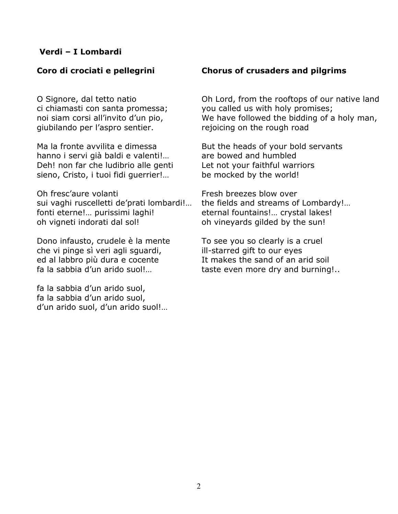# Verdi – I Lombardi

O Signore, dal tetto natio ci chiamasti con santa promessa; noi siam corsi all'invito d'un pio, giubilando per l'aspro sentier.

Ma la fronte avvilita e dimessa hanno i servi già baldi e valenti!… Deh! non far che ludibrio alle genti sieno, Cristo, i tuoi fidi guerrier!…

Oh fresc'aure volanti sui vaghi ruscelletti de'prati lombardi!… fonti eterne!… purissimi laghi! oh vigneti indorati dal sol!

Dono infausto, crudele è la mente che vi pinge sì veri agli sguardi, ed al labbro più dura e cocente fa la sabbia d'un arido suol!…

fa la sabbia d'un arido suol, fa la sabbia d'un arido suol, d'un arido suol, d'un arido suol!…

# Coro di crociati e pellegrini Chorus of crusaders and pilgrims

Oh Lord, from the rooftops of our native land you called us with holy promises; We have followed the bidding of a holy man, rejoicing on the rough road

But the heads of your bold servants are bowed and humbled Let not your faithful warriors be mocked by the world!

Fresh breezes blow over the fields and streams of Lombardy!… eternal fountains!… crystal lakes! oh vineyards gilded by the sun!

To see you so clearly is a cruel ill-starred gift to our eyes It makes the sand of an arid soil taste even more dry and burning!..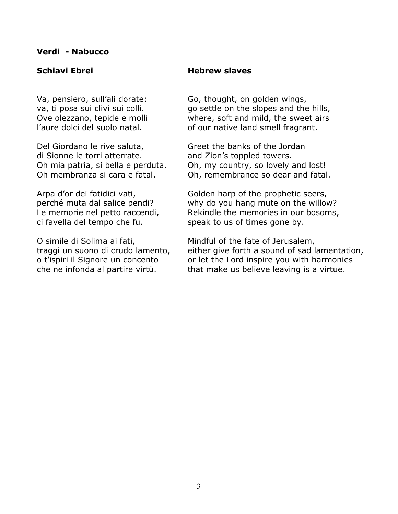### Verdi - Nabucco

Va, pensiero, sull'ali dorate: va, ti posa sui clivi sui colli. Ove olezzano, tepide e molli l'aure dolci del suolo natal.

Del Giordano le rive saluta, di Sionne le torri atterrate. Oh mia patria, si bella e perduta. Oh membranza si cara e fatal.

Arpa d'or dei fatidici vati, perché muta dal salice pendi? Le memorie nel petto raccendi, ci favella del tempo che fu.

O simile di Solima ai fati, traggi un suono di crudo lamento, o t'ispiri il Signore un concento che ne infonda al partire virtù.

### Schiavi Ebrei 1988 - Hebrew slaves

Go, thought, on golden wings, go settle on the slopes and the hills, where, soft and mild, the sweet airs of our native land smell fragrant.

Greet the banks of the Jordan and Zion's toppled towers. Oh, my country, so lovely and lost! Oh, remembrance so dear and fatal.

Golden harp of the prophetic seers, why do you hang mute on the willow? Rekindle the memories in our bosoms, speak to us of times gone by.

Mindful of the fate of Jerusalem, either give forth a sound of sad lamentation, or let the Lord inspire you with harmonies that make us believe leaving is a virtue.